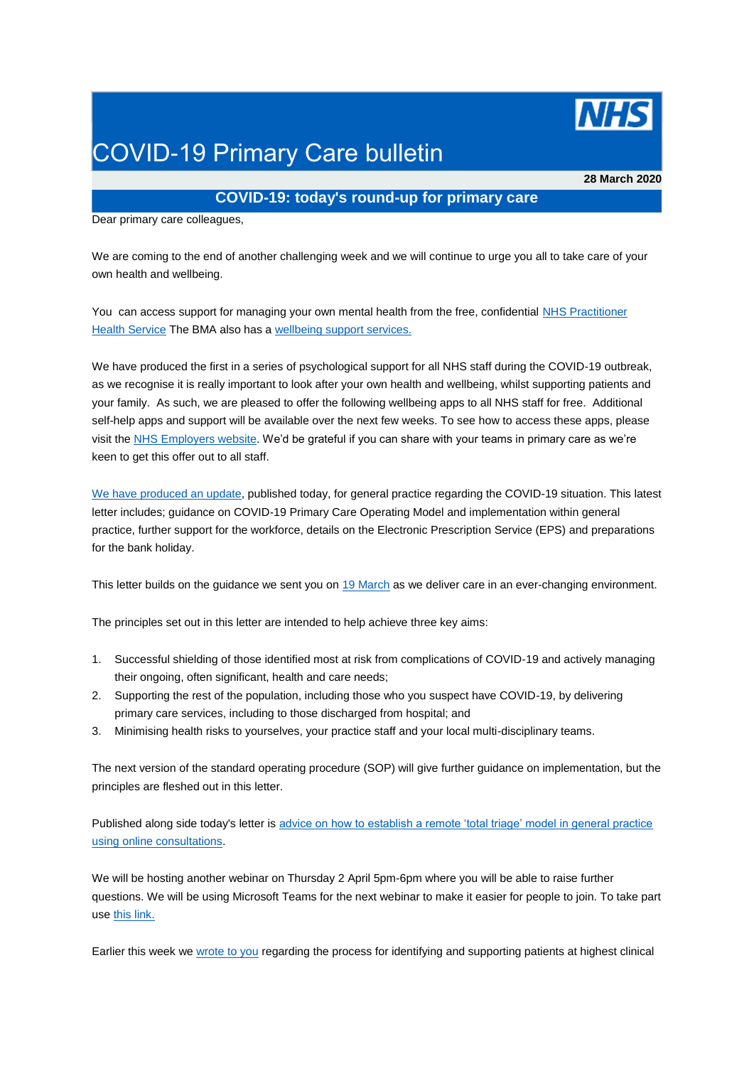

# COVID-19 Primary Care bulletin

**28 March 2020**

# **COVID-19: today's round-up for primary care**

Dear primary care colleagues,

We are coming to the end of another challenging week and we will continue to urge you all to take care of your own health and wellbeing.

You can access support for managing your own mental health from the free, confidential NHS Practitioner [Health Service](https://generalpracticebulletin.cmail20.com/t/d-l-mjkidz-jucslyp-r/) The BMA also has a [wellbeing support services.](https://generalpracticebulletin.cmail20.com/t/d-l-mjkidz-jucslyp-y/)

We have produced the first in a series of psychological support for all NHS staff during the COVID-19 outbreak, as we recognise it is really important to look after your own health and wellbeing, whilst supporting patients and your family. As such, we are pleased to offer the following wellbeing apps to all NHS staff for free. Additional self-help apps and support will be available over the next few weeks. To see how to access these apps, please visit the [NHS Employers website.](https://generalpracticebulletin.cmail20.com/t/d-l-mjkidz-jucslyp-j/) We'd be grateful if you can share with your teams in primary care as we're keen to get this offer out to all staff.

[We have produced an update,](https://generalpracticebulletin.cmail20.com/t/d-l-mjkidz-jucslyp-t/) published today, for general practice regarding the COVID-19 situation. This latest letter includes; guidance on COVID-19 Primary Care Operating Model and implementation within general practice, further support for the workforce, details on the Electronic Prescription Service (EPS) and preparations for the bank holiday.

This letter builds on the guidance we sent you on [19 March](https://generalpracticebulletin.cmail20.com/t/d-l-mjkidz-jucslyp-i/) as we deliver care in an ever-changing environment.

The principles set out in this letter are intended to help achieve three key aims:

- 1. Successful shielding of those identified most at risk from complications of COVID-19 and actively managing their ongoing, often significant, health and care needs;
- 2. Supporting the rest of the population, including those who you suspect have COVID-19, by delivering primary care services, including to those discharged from hospital; and
- 3. Minimising health risks to yourselves, your practice staff and your local multi-disciplinary teams.

The next version of the standard operating procedure (SOP) will give further guidance on implementation, but the principles are fleshed out in this letter.

Published along side today's letter is [advice on how to establish a remote 'total triage' model in general practice](https://generalpracticebulletin.cmail20.com/t/d-l-mjkidz-jucslyp-d/)  [using online consultations.](https://generalpracticebulletin.cmail20.com/t/d-l-mjkidz-jucslyp-d/)

We will be hosting another webinar on Thursday 2 April 5pm-6pm where you will be able to raise further questions. We will be using Microsoft Teams for the next webinar to make it easier for people to join. To take part use [this link.](https://generalpracticebulletin.cmail20.com/t/d-l-mjkidz-jucslyp-h/)

Earlier this week we [wrote to you](https://generalpracticebulletin.cmail20.com/t/d-l-mjkidz-jucslyp-k/) regarding the process for identifying and supporting patients at highest clinical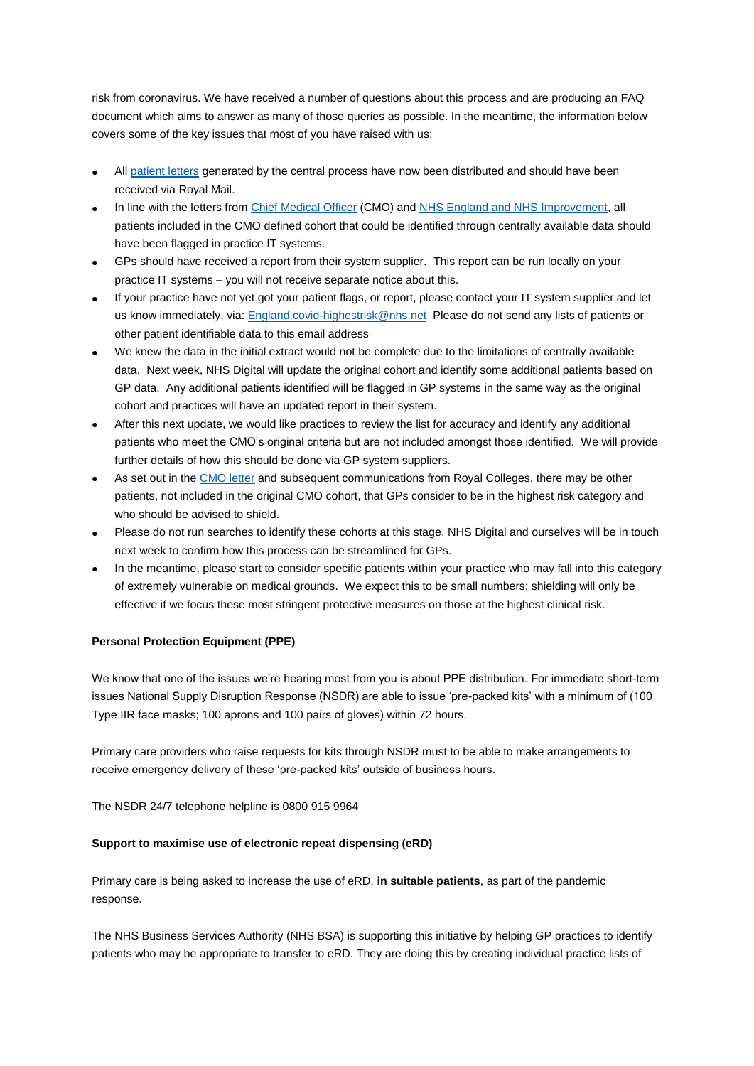risk from coronavirus. We have received a number of questions about this process and are producing an FAQ document which aims to answer as many of those queries as possible. In the meantime, the information below covers some of the key issues that most of you have raised with us:

- All [patient letters](https://generalpracticebulletin.cmail20.com/t/d-l-mjkidz-jucslyp-u/) generated by the central process have now been distributed and should have been received via Royal Mail.
- In line with the letters from [Chief Medical Officer](https://generalpracticebulletin.cmail20.com/t/d-l-mjkidz-jucslyp-o/) (CMO) and [NHS England and NHS Improvement,](https://generalpracticebulletin.cmail20.com/t/d-l-mjkidz-jucslyp-b/) all patients included in the CMO defined cohort that could be identified through centrally available data should have been flagged in practice IT systems.
- GPs should have received a report from their system supplier. This report can be run locally on your practice IT systems – you will not receive separate notice about this.
- If your practice have not yet got your patient flags, or report, please contact your IT system supplier and let us know immediately, via: [England.covid-highestrisk@nhs.net](mailto:England.covid-highestrisk@nhs.net) Please do not send any lists of patients or other patient identifiable data to this email address
- We knew the data in the initial extract would not be complete due to the limitations of centrally available data. Next week, NHS Digital will update the original cohort and identify some additional patients based on GP data. Any additional patients identified will be flagged in GP systems in the same way as the original cohort and practices will have an updated report in their system.
- After this next update, we would like practices to review the list for accuracy and identify any additional patients who meet the CMO's original criteria but are not included amongst those identified. We will provide further details of how this should be done via GP system suppliers.
- As set out in the [CMO letter](https://generalpracticebulletin.cmail20.com/t/d-l-mjkidz-jucslyp-n/) and subsequent communications from Royal Colleges, there may be other patients, not included in the original CMO cohort, that GPs consider to be in the highest risk category and who should be advised to shield.
- Please do not run searches to identify these cohorts at this stage. NHS Digital and ourselves will be in touch next week to confirm how this process can be streamlined for GPs.
- In the meantime, please start to consider specific patients within your practice who may fall into this category of extremely vulnerable on medical grounds. We expect this to be small numbers; shielding will only be effective if we focus these most stringent protective measures on those at the highest clinical risk.

## **Personal Protection Equipment (PPE)**

We know that one of the issues we're hearing most from you is about PPE distribution. For immediate short-term issues National Supply Disruption Response (NSDR) are able to issue 'pre-packed kits' with a minimum of (100 Type IIR face masks; 100 aprons and 100 pairs of gloves) within 72 hours.

Primary care providers who raise requests for kits through NSDR must to be able to make arrangements to receive emergency delivery of these 'pre-packed kits' outside of business hours.

The NSDR 24/7 telephone helpline is 0800 915 9964

#### **Support to maximise use of electronic repeat dispensing (eRD)**

Primary care is being asked to increase the use of eRD, **in suitable patients**, as part of the pandemic response.

The NHS Business Services Authority (NHS BSA) is supporting this initiative by helping GP practices to identify patients who may be appropriate to transfer to eRD. They are doing this by creating individual practice lists of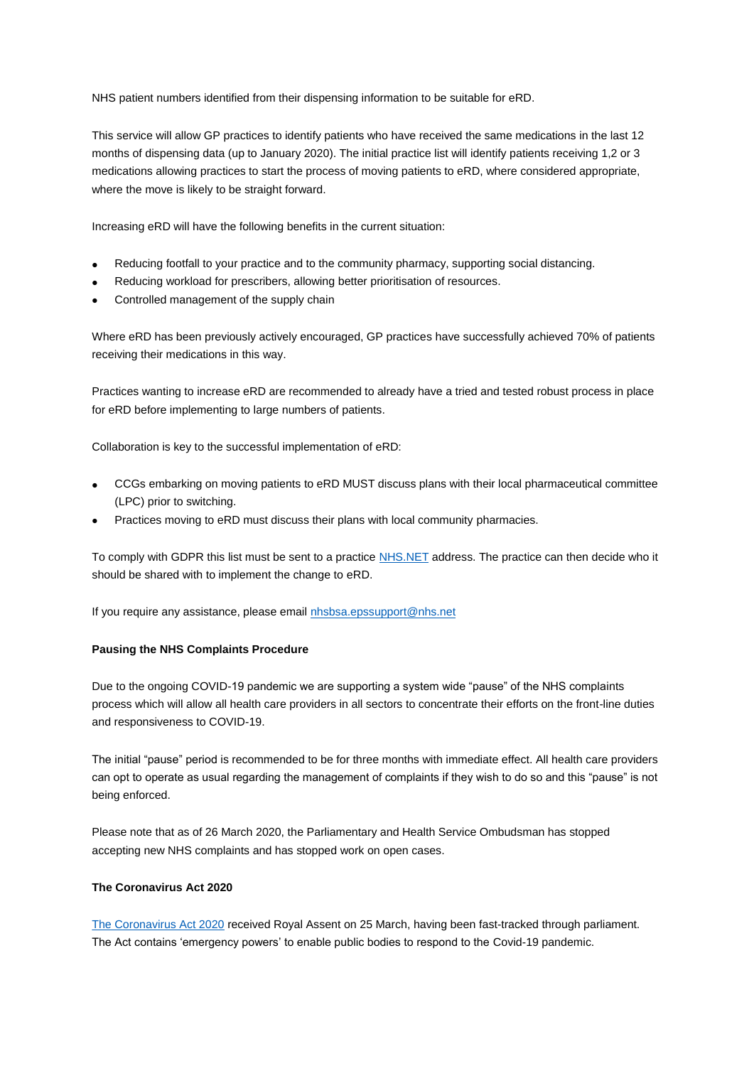NHS patient numbers identified from their dispensing information to be suitable for eRD.

This service will allow GP practices to identify patients who have received the same medications in the last 12 months of dispensing data (up to January 2020). The initial practice list will identify patients receiving 1,2 or 3 medications allowing practices to start the process of moving patients to eRD, where considered appropriate, where the move is likely to be straight forward.

Increasing eRD will have the following benefits in the current situation:

- Reducing footfall to your practice and to the community pharmacy, supporting social distancing.
- Reducing workload for prescribers, allowing better prioritisation of resources.
- Controlled management of the supply chain

Where eRD has been previously actively encouraged, GP practices have successfully achieved 70% of patients receiving their medications in this way.

Practices wanting to increase eRD are recommended to already have a tried and tested robust process in place for eRD before implementing to large numbers of patients.

Collaboration is key to the successful implementation of eRD:

- CCGs embarking on moving patients to eRD MUST discuss plans with their local pharmaceutical committee (LPC) prior to switching.
- Practices moving to eRD must discuss their plans with local community pharmacies.

To comply with GDPR this list must be sent to a practice [NHS.NET](https://generalpracticebulletin.cmail20.com/t/d-l-mjkidz-jucslyp-p/) address. The practice can then decide who it should be shared with to implement the change to eRD.

If you require any assistance, please email [nhsbsa.epssupport@nhs.net](mailto:nhsbsa.epssupport@nhs.net)

#### **Pausing the NHS Complaints Procedure**

Due to the ongoing COVID-19 pandemic we are supporting a system wide "pause" of the NHS complaints process which will allow all health care providers in all sectors to concentrate their efforts on the front-line duties and responsiveness to COVID-19.

The initial "pause" period is recommended to be for three months with immediate effect. All health care providers can opt to operate as usual regarding the management of complaints if they wish to do so and this "pause" is not being enforced.

Please note that as of 26 March 2020, the Parliamentary and Health Service Ombudsman has stopped accepting new NHS complaints and has stopped work on open cases.

#### **The Coronavirus Act 2020**

[The Coronavirus Act 2020](https://generalpracticebulletin.cmail20.com/t/d-l-mjkidz-jucslyp-x/) received Royal Assent on 25 March, having been fast-tracked through parliament. The Act contains 'emergency powers' to enable public bodies to respond to the Covid-19 pandemic.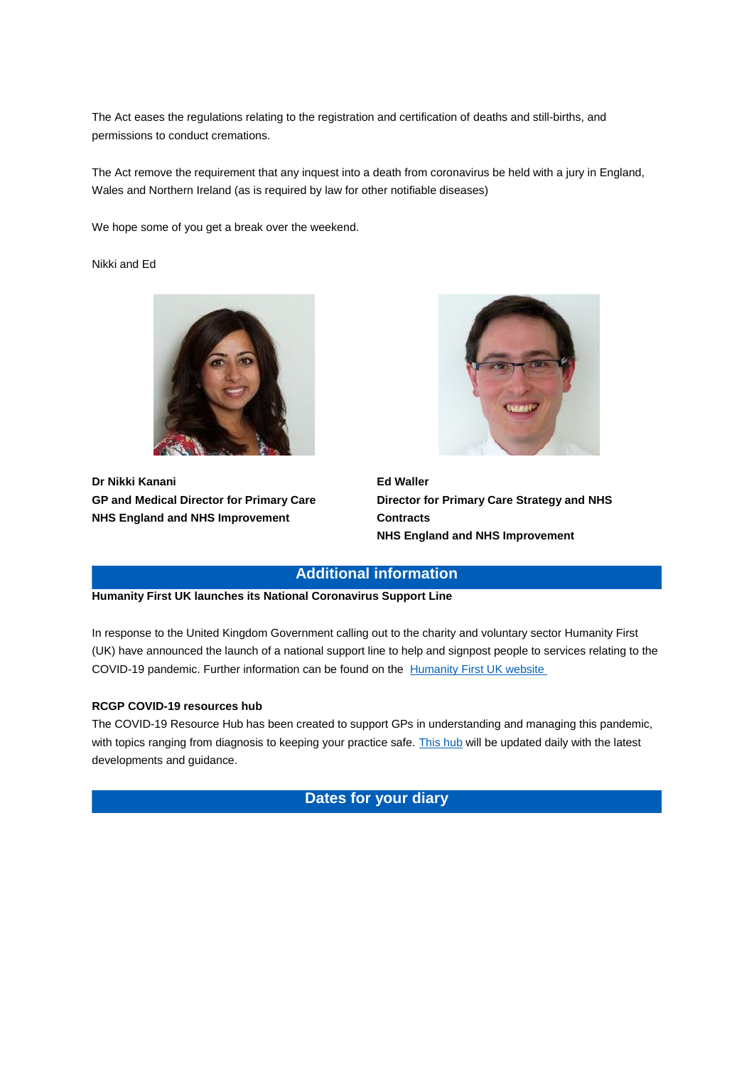The Act eases the regulations relating to the registration and certification of deaths and still-births, and permissions to conduct cremations.

The Act remove the requirement that any inquest into a death from coronavirus be held with a jury in England, Wales and Northern Ireland (as is required by law for other notifiable diseases)

We hope some of you get a break over the weekend.

Nikki and Ed



**Dr Nikki Kanani GP and Medical Director for Primary Care NHS England and NHS Improvement**



**Ed Waller Director for Primary Care Strategy and NHS Contracts NHS England and NHS Improvement**

## **Additional information**

**Humanity First UK launches its National Coronavirus Support Line** 

In response to the United Kingdom Government calling out to the charity and voluntary sector Humanity First (UK) have announced the launch of a national support line to help and signpost people to services relating to the COVID-19 pandemic. Further information can be found on the [Humanity First UK website](https://generalpracticebulletin.cmail20.com/t/d-l-mjkidz-jucslyp-m/)

#### **RCGP COVID-19 resources hub**

The COVID-19 Resource Hub has been created to support GPs in understanding and managing this pandemic, with topics ranging from diagnosis to keeping your practice safe. [This hub](https://generalpracticebulletin.cmail20.com/t/d-l-mjkidz-jucslyp-a/) will be updated daily with the latest developments and guidance.

**Dates for your diary**